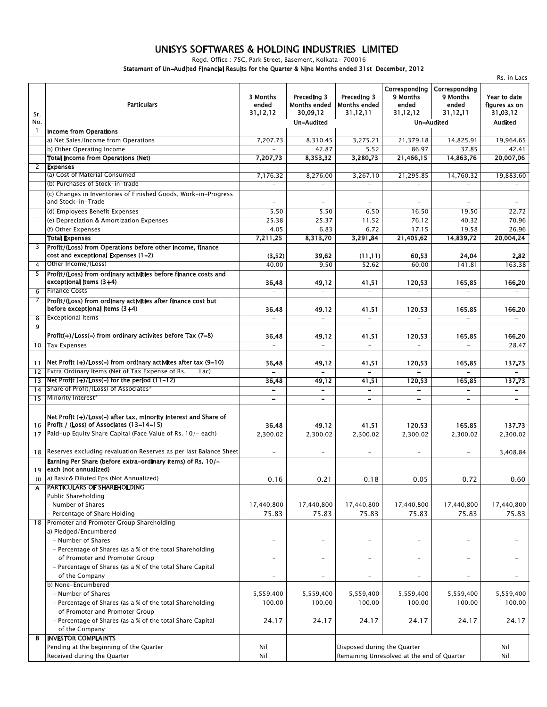## UNISYS SOFTWARES & HOLDING INDUSTRIES LIMITED

Regd. Office: 75C, Park Street, Basement, Kolkata- 700016

Statement of Un-Audited Financial Results for the Quarter & Nine Months ended 31st December, 2012

|          | Rs. in Lacs                                                                                                                |                               |                                                |                                                |                                                |                                                |                                           |  |  |
|----------|----------------------------------------------------------------------------------------------------------------------------|-------------------------------|------------------------------------------------|------------------------------------------------|------------------------------------------------|------------------------------------------------|-------------------------------------------|--|--|
| Sr.      | <b>Particulars</b>                                                                                                         | 3 Months<br>ended<br>31.12.12 | Preceding 3<br><b>Months ended</b><br>30.09.12 | Preceding 3<br><b>Months ended</b><br>31.12.11 | Correspondina<br>9 Months<br>ended<br>31.12.12 | Corresponding<br>9 Months<br>ended<br>31.12.11 | Year to date<br>figures as on<br>31.03.12 |  |  |
| No.      |                                                                                                                            |                               | <b>Un-Audited</b>                              |                                                |                                                | <b>Un-Audited</b>                              | <b>Audited</b>                            |  |  |
| -1       | <b>Income from Operations</b>                                                                                              |                               |                                                |                                                |                                                |                                                |                                           |  |  |
|          | a) Net Sales/Income from Operations                                                                                        | 7,207.73                      | 8,310.45                                       | 3,275.21                                       | 21,379.18                                      | 14,825.91                                      | 19,964.65                                 |  |  |
|          | b) Other Operating Income                                                                                                  |                               | 42.87                                          | 5.52                                           | 86.97                                          | 37.85                                          | 42.41                                     |  |  |
|          | <b>Total Income from Operations (Net)</b>                                                                                  | 7,207.73                      | 8,353.32                                       | 3,280.73                                       | 21,466.15                                      | 14,863.76                                      | 20,007.06                                 |  |  |
| 2        | <b>Expenses</b>                                                                                                            |                               |                                                |                                                |                                                |                                                |                                           |  |  |
|          | (a) Cost of Material Consumed                                                                                              | 7,176.32                      | 8,276.00                                       | 3,267.10                                       | 21,295.85                                      | 14,760.32                                      | 19,883.60                                 |  |  |
|          | (b) Purchases of Stock-in-trade                                                                                            | $\overline{\phantom{a}}$      | $\equiv$                                       | $\equiv$                                       | $\equiv$                                       |                                                |                                           |  |  |
|          | (c) Changes in Inventories of Finished Goods, Work-in-Progress<br>and Stock-in-Trade                                       | $\overline{\phantom{0}}$      |                                                |                                                |                                                |                                                |                                           |  |  |
|          | (d) Employees Benefit Expenses                                                                                             | 5.50                          | 5.50                                           | 6.50                                           | 16.50                                          | 19.50                                          | 22.72                                     |  |  |
|          | (e) Depreciation & Amortization Expenses                                                                                   | 25.38                         | 25.37                                          | 11.52                                          | 76.12                                          | 40.32                                          | 70.96                                     |  |  |
|          | (f) Other Expenses                                                                                                         | 4.05                          | 6.83                                           | 6.72                                           | 17.15                                          | 19.58                                          | 26.96                                     |  |  |
|          | <b>Total Expenses</b>                                                                                                      | 7,211.25                      | 8,313.70                                       | 3,291.84                                       | 21,405.62                                      | 14,839.72                                      | 20,004.24                                 |  |  |
| 3        | Profit/(Loss) from Operations before other Income, finance<br>cost and exceptional Expenses (1-2)                          | (3.52)                        | 39.62                                          | (11.11)                                        | 60.53                                          | 24.04                                          | 2.82                                      |  |  |
| 4        | Other Income/(Loss)                                                                                                        | 40.00                         | 9.50                                           | 52.62                                          | 60.00                                          | 141.81                                         | 163.38                                    |  |  |
| 5        | Profit/(Loss) from ordinary activities before finance costs and<br>exceptional items $(3+4)$                               | 36.48                         | 49.12                                          | 41.51                                          | 120.53                                         | 165.85                                         | 166.20                                    |  |  |
| 6        | <b>Finance Costs</b>                                                                                                       |                               |                                                |                                                |                                                |                                                |                                           |  |  |
| 7        | Profit/(Loss) from ordinary activities after finance cost but                                                              |                               |                                                |                                                |                                                |                                                |                                           |  |  |
|          | before exceptional items $(3+4)$                                                                                           | 36.48                         | 49.12                                          | 41.51                                          | 120.53                                         | 165.85                                         | 166.20                                    |  |  |
| 8        | <b>Exceptional Items</b>                                                                                                   | $\equiv$                      | $\equiv$                                       | $\equiv$                                       | $\overline{a}$                                 | $\overline{\phantom{a}}$                       | $\overline{\phantom{a}}$                  |  |  |
| 9        |                                                                                                                            |                               |                                                |                                                |                                                |                                                |                                           |  |  |
|          | Profit(+)/Loss(-) from ordinary activites before Tax (7-8)                                                                 | 36.48                         | 49.12                                          | 41.51                                          | 120.53                                         | 165.85                                         | 166.20                                    |  |  |
| 10       | <b>Tax Expenses</b>                                                                                                        | $\overline{a}$                |                                                |                                                |                                                | $\equiv$                                       | 28.47                                     |  |  |
|          |                                                                                                                            |                               |                                                |                                                |                                                |                                                |                                           |  |  |
| 11<br>12 | Net Profit (+)/Loss(-) from ordinary activites after tax (9-10)<br>Extra Ordinary Items (Net of Tax Expense of Rs.<br>Lac) | 36.48<br>$\qquad \qquad -$    | 49.12<br>$\overline{\phantom{0}}$              | 41.51<br>$\overline{\phantom{a}}$              | 120.53<br>$\overline{\phantom{0}}$             | 165.85<br>$\overline{\phantom{a}}$             | 137.73<br>$\qquad \qquad =$               |  |  |
| 13       | $Net Profit (+)/Loss(-)$ for the period $(11-12)$                                                                          | 36.48                         | 49.12                                          | 41.51                                          | 120.53                                         | 165.85                                         | 137.73                                    |  |  |
| 14       | Share of Profit/(Loss) of Associates*                                                                                      | $\qquad \qquad$               |                                                | $\overline{\phantom{a}}$                       | $\qquad \qquad -$                              | -                                              | $\qquad \qquad \blacksquare$              |  |  |
| 15       | Minority Interest*                                                                                                         | $\qquad \qquad \blacksquare$  | $\overline{\phantom{a}}$                       | $\qquad \qquad -$                              | $\overline{\phantom{a}}$                       | $\overline{\phantom{a}}$                       | $\overline{\phantom{a}}$                  |  |  |
|          | Net Profit (+)/Loss(-) after tax, minority interest and Share of                                                           |                               |                                                |                                                |                                                |                                                |                                           |  |  |
| 16       | Profit / (Loss) of Associates (13-14-15)                                                                                   | 36.48                         | 49.12                                          | 41.51                                          | 120.53                                         | 165.85                                         | 137.73                                    |  |  |
| 17       | Paid-up Equity Share Capital (Face Value of Rs. 10/- each)                                                                 | 2.300.02                      | 2,300.02                                       | 2,300.02                                       | 2.300.02                                       | 2.300.02                                       | 2,300.02                                  |  |  |
|          |                                                                                                                            |                               |                                                |                                                |                                                |                                                |                                           |  |  |
|          | 18   Reserves excluding revaluation Reserves as per last Balance Sheet                                                     | $\overline{\phantom{a}}$      |                                                |                                                |                                                |                                                | 3,408.84                                  |  |  |
|          | Earning Per Share (before extra-ordinary items) of Rs. 10/-<br>19 each (not annualized)                                    |                               |                                                |                                                |                                                |                                                |                                           |  |  |
|          | a) Basic& Diluted Eps (Not Annualized)                                                                                     |                               |                                                |                                                |                                                |                                                |                                           |  |  |
| (i)<br>A | <b>PARTICULARS OF SHAREHOLDING</b>                                                                                         | 0.16                          | 0.21                                           | 0.18                                           | 0.05                                           | 0.72                                           | 0.60                                      |  |  |
|          | <b>Public Shareholding</b>                                                                                                 |                               |                                                |                                                |                                                |                                                |                                           |  |  |
|          | - Number of Shares                                                                                                         | 17,440,800                    | 17,440,800                                     | 17,440,800                                     | 17,440,800                                     | 17,440,800                                     | 17,440,800                                |  |  |
|          | - Percentage of Share Holding                                                                                              | 75.83                         | 75.83                                          | 75.83                                          | 75.83                                          | 75.83                                          | 75.83                                     |  |  |
|          | 18 Promoter and Promoter Group Shareholding                                                                                |                               |                                                |                                                |                                                |                                                |                                           |  |  |
|          | a) Pledged/Encumbered                                                                                                      |                               |                                                |                                                |                                                |                                                |                                           |  |  |
|          | - Number of Shares                                                                                                         | $\overline{\phantom{0}}$      | $\qquad \qquad -$                              | $\overline{\phantom{0}}$                       |                                                | $\overline{\phantom{0}}$                       |                                           |  |  |
|          | - Percentage of Shares (as a % of the total Shareholding                                                                   |                               |                                                |                                                |                                                |                                                |                                           |  |  |
|          | of Promoter and Promoter Group                                                                                             |                               | $\qquad \qquad -$                              | $\equiv$                                       | $\qquad \qquad -$                              | $\overline{\phantom{0}}$                       |                                           |  |  |
|          | - Percentage of Shares (as a % of the total Share Capital                                                                  |                               |                                                |                                                |                                                |                                                |                                           |  |  |
|          | of the Company                                                                                                             | $\overline{\phantom{0}}$      | $\qquad \qquad -$                              |                                                |                                                | $\overline{\phantom{0}}$                       |                                           |  |  |
|          | b) None-Encumbered                                                                                                         |                               |                                                |                                                |                                                |                                                |                                           |  |  |
|          | - Number of Shares                                                                                                         | 5,559,400                     | 5,559,400                                      | 5,559,400                                      | 5,559,400                                      | 5,559,400                                      | 5,559,400                                 |  |  |
|          | - Percentage of Shares (as a % of the total Shareholding                                                                   | 100.00                        | 100.00                                         | 100.00                                         | 100.00                                         | 100.00                                         | 100.00                                    |  |  |
|          | of Promoter and Promoter Group                                                                                             |                               |                                                |                                                |                                                |                                                |                                           |  |  |
|          | - Percentage of Shares (as a % of the total Share Capital                                                                  | 24.17                         | 24.17                                          | 24.17                                          | 24.17                                          | 24.17                                          | 24.17                                     |  |  |
|          | of the Company                                                                                                             |                               |                                                |                                                |                                                |                                                |                                           |  |  |
| в        | <b>INVESTOR COMPLAINTS</b>                                                                                                 |                               |                                                |                                                |                                                |                                                |                                           |  |  |
|          | Pending at the beginning of the Quarter                                                                                    | Nil                           |                                                | Disposed during the Quarter                    |                                                |                                                | Nil                                       |  |  |
|          | Received during the Quarter                                                                                                | Nil                           |                                                |                                                | Remaining Unresolved at the end of Quarter     |                                                | Nil                                       |  |  |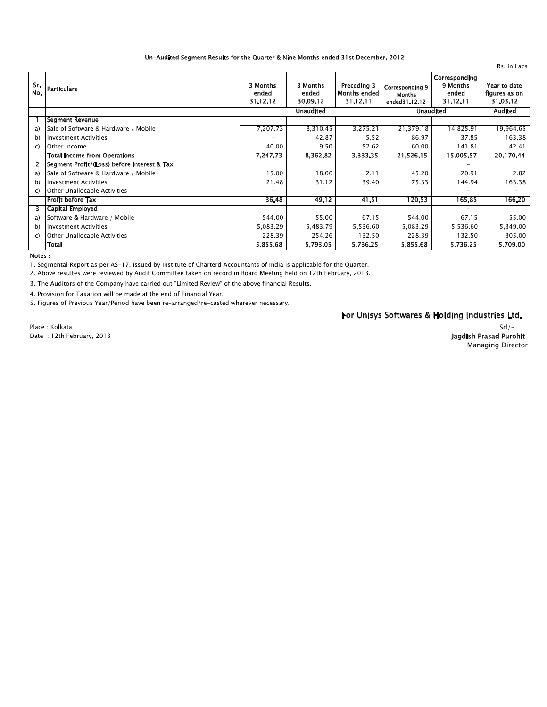#### Un-Audited Segment Results for the Quarter & Nine Months ended 31st December, 2012

| Sr.<br>No.    | <b>Particulars</b>                          | 3 Months<br>ended<br>31.12.12 | 3 Months<br>ended<br>30.09.12 | Preceding 3<br><b>Months ended</b><br>31.12.11 | <b>Corresponding 9</b><br><b>Months</b><br>ended31.12.12 | Corresponding<br>9 Months<br>ended<br>31.12.11 | Year to date<br>figures as on<br>31.03.12 |
|---------------|---------------------------------------------|-------------------------------|-------------------------------|------------------------------------------------|----------------------------------------------------------|------------------------------------------------|-------------------------------------------|
|               |                                             | <b>Unaudited</b>              |                               |                                                | <b>Unaudited</b>                                         |                                                | <b>Audited</b>                            |
|               | <b>Segment Revenue</b>                      |                               |                               |                                                |                                                          |                                                |                                           |
| a)            | Sale of Software & Hardware / Mobile        | 7,207.73                      | 8,310.45                      | 3,275.21                                       | 21,379.18                                                | 14,825.91                                      | 19,964.65                                 |
| b)            | <b>Investment Activities</b>                | $\overline{\phantom{a}}$      | 42.87                         | 5.52                                           | 86.97                                                    | 37.85                                          | 163.38                                    |
| C)            | Other Income                                | 40.00                         | 9.50                          | 52.62                                          | 60.00                                                    | 141.81                                         | 42.41                                     |
|               | <b>Total Income from Operations</b>         | 7,247.73                      | 8,362.82                      | 3,333.35                                       | 21,526.15                                                | 15,005.57                                      | 20,170.44                                 |
| 2             | Segment Profit/(Loss) before Interest & Tax |                               |                               |                                                |                                                          | -                                              |                                           |
| a)            | Sale of Software & Hardware / Mobile        | 15.00                         | 18.00                         | 2.11                                           | 45.20                                                    | 20.91                                          | 2.82                                      |
| b)            | <b>Investment Activities</b>                | 21.48                         | 31.12                         | 39.40                                          | 75.33                                                    | 144.94                                         | 163.38                                    |
| $\mathcal{C}$ | Other Unallocable Activities                | $\overline{\phantom{a}}$      | -                             | -                                              | $\overline{\phantom{a}}$                                 | $\overline{\phantom{0}}$                       | $\overline{\phantom{0}}$                  |
|               | Profit before Tax                           | 36.48                         | 49.12                         | 41.51                                          | 120.53                                                   | 165.85                                         | 166.20                                    |
| 3.            | Capital Employed                            |                               |                               |                                                |                                                          | $\overline{\phantom{a}}$                       |                                           |
| a)            | Software & Hardware / Mobile                | 544.00                        | 55.00                         | 67.15                                          | 544.00                                                   | 67.15                                          | 55.00                                     |
| b)            | <b>Investment Activities</b>                | 5,083.29                      | 5,483.79                      | 5,536.60                                       | 5,083.29                                                 | 5,536.60                                       | 5,349.00                                  |
| $\mathcal{C}$ | Other Unallocable Activities                | 228.39                        | 254.26                        | 132.50                                         | 228.39                                                   | 132.50                                         | 305.00                                    |
|               | Total                                       | 5,855.68                      | 5,793.05                      | 5,736.25                                       | 5,855.68                                                 | 5,736.25                                       | 5,709.00                                  |

Notes:

1. Segmental Report as per AS-17, issued by Institute of Charterd Accountants of India is applicable for the Quarter.

2. Above resultes were reviewed by Audit Committee taken on record in Board Meeting held on 12th February, 2013.

3. The Auditors of the Company have carried out "Limited Review" of the above financial Results.

4. Provision for Taxation will be made at the end of Financial Year.

5. Figures of Previous Year/Period have been re-arranged/re-casted wherever necessary.

### For Unisys Softwares & Holding Industries Ltd.

Place: Kolkata Date: 12th February, 2013

#### $Sd$  /-Jagdish Prasad Purohit **Managing Director**

Rs. in Lacs